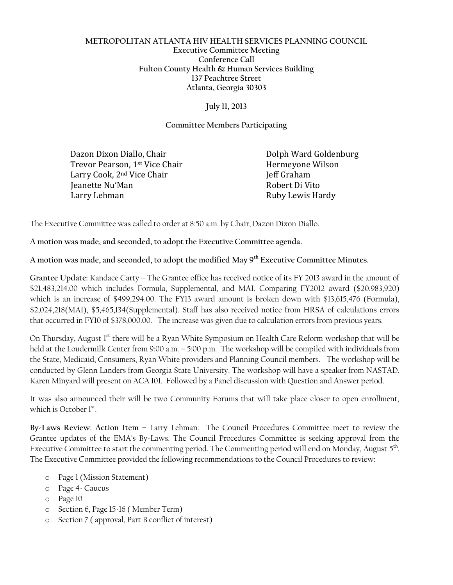## **METROPOLITAN ATLANTA HIV HEALTH SERVICES PLANNING COUNCIL Executive Committee Meeting Conference Call Fulton County Health & Human Services Building 137 Peachtree Street Atlanta, Georgia 30303**

## **July 11, 2013**

## **Committee Members Participating**

Dazon Dixon Diallo, Chair **Dolph Ward Goldenburg** Trevor Pearson, 1<sup>st</sup> Vice Chair **Hermeyone Wilson** Larry Cook, 2<sup>nd</sup> Vice Chair Jeff Graham Ieanette Nu'Man and a strong and a strong Robert Di Vito Larry Lehman **Ruby Lewis Hardy** Ruby Lewis Hardy

The Executive Committee was called to order at 8:50 a.m. by Chair, Dazon Dixon Diallo.

**A motion was made, and seconded, to adopt the Executive Committee agenda.** 

**A motion was made, and seconded, to adopt the modified May 9th Executive Committee Minutes.**

**Grantee Update:** Kandace Carty – The Grantee office has received notice of its FY 2013 award in the amount of \$21,483,214.00 which includes Formula, Supplemental, and MAI. Comparing FY2012 award (\$20,983,920) which is an increase of \$499,294.00. The FY13 award amount is broken down with \$13,615,476 (Formula), \$2,024,218(MAI), \$5,465,134(Supplemental). Staff has also received notice from HRSA of calculations errors that occurred in FY10 of \$378,000.00. The increase was given due to calculation errors from previous years.

On Thursday, August 1<sup>st</sup> there will be a Ryan White Symposium on Health Care Reform workshop that will be held at the Loudermilk Center from 9:00 a.m. – 5:00 p.m. The workshop will be compiled with individuals from the State, Medicaid, Consumers, Ryan White providers and Planning Council members. The workshop will be conducted by Glenn Landers from Georgia State University. The workshop will have a speaker from NASTAD, Karen Minyard will present on ACA 101. Followed by a Panel discussion with Question and Answer period.

It was also announced their will be two Community Forums that will take place closer to open enrollment, which is October 1st.

**By-Laws Review**: **Action Item** – Larry Lehman: The Council Procedures Committee meet to review the Grantee updates of the EMA's By-Laws. The Council Procedures Committee is seeking approval from the Executive Committee to start the commenting period. The Commenting period will end on Monday, August 5<sup>th</sup>. The Executive Committee provided the following recommendations to the Council Procedures to review:

- o Page 1 (Mission Statement)
- o Page 4- Caucus
- o Page 10
- o Section 6, Page 15-16 ( Member Term)
- o Section 7 ( approval, Part B conflict of interest)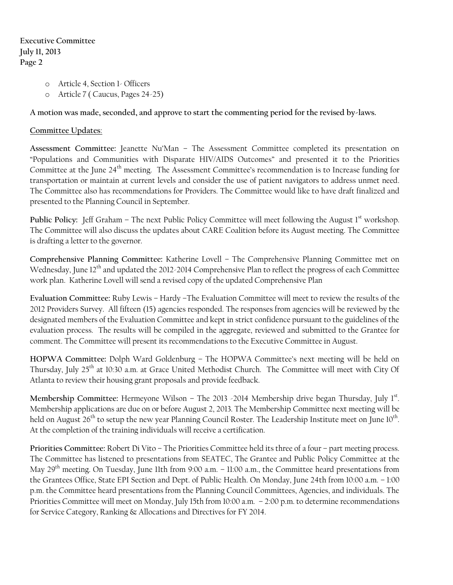- o Article 4, Section 1- Officers
- o Article 7 ( Caucus, Pages 24-25)

**A motion was made, seconded, and approve to start the commenting period for the revised by-laws.**

## **Committee Updates**:

**Assessment Committee:** Jeanette Nu'Man – The Assessment Committee completed its presentation on "Populations and Communities with Disparate HIV/AIDS Outcomes" and presented it to the Priorities Committee at the June 24<sup>th</sup> meeting. The Assessment Committee's recommendation is to Increase funding for transportation or maintain at current levels and consider the use of patient navigators to address unmet need. The Committee also has recommendations for Providers. The Committee would like to have draft finalized and presented to the Planning Council in September.

**Public Policy:** Jeff Graham – The next Public Policy Committee will meet following the August 1<sup>st</sup> workshop. The Committee will also discuss the updates about CARE Coalition before its August meeting. The Committee is drafting a letter to the governor.

**Comprehensive Planning Committee:** Katherine Lovell – The Comprehensive Planning Committee met on Wednesday, June 12<sup>th</sup> and updated the 2012-2014 Comprehensive Plan to reflect the progress of each Committee work plan. Katherine Lovell will send a revised copy of the updated Comprehensive Plan

**Evaluation Committee:** Ruby Lewis – Hardy –The Evaluation Committee will meet to review the results of the 2012 Providers Survey. All fifteen (15) agencies responded. The responses from agencies will be reviewed by the designated members of the Evaluation Committee and kept in strict confidence pursuant to the guidelines of the evaluation process. The results will be compiled in the aggregate, reviewed and submitted to the Grantee for comment. The Committee will present its recommendations to the Executive Committee in August.

**HOPWA Committee:** Dolph Ward Goldenburg – The HOPWA Committee's next meeting will be held on Thursday, July 25<sup>th</sup> at 10:30 a.m. at Grace United Methodist Church. The Committee will meet with City Of Atlanta to review their housing grant proposals and provide feedback.

Membership Committee: Hermeyone Wilson - The 2013 -2014 Membership drive began Thursday, July 1st. Membership applications are due on or before August 2, 2013. The Membership Committee next meeting will be held on August 26<sup>th</sup> to setup the new year Planning Council Roster. The Leadership Institute meet on June 10<sup>th</sup>. At the completion of the training individuals will receive a certification.

**Priorities Committee:** Robert Di Vito – The Priorities Committee held its three of a four – part meeting process. The Committee has listened to presentations from SEATEC, The Grantee and Public Policy Committee at the May 29<sup>th</sup> meeting. On Tuesday, June 11th from 9:00 a.m. – 11:00 a.m., the Committee heard presentations from the Grantees Office, State EPI Section and Dept. of Public Health. On Monday, June 24th from 10:00 a.m. – 1:00 p.m. the Committee heard presentations from the Planning Council Committees, Agencies, and individuals. The Priorities Committee will meet on Monday, July 15th from 10:00 a.m. – 2:00 p.m. to determine recommendations for Service Category, Ranking & Allocations and Directives for FY 2014.